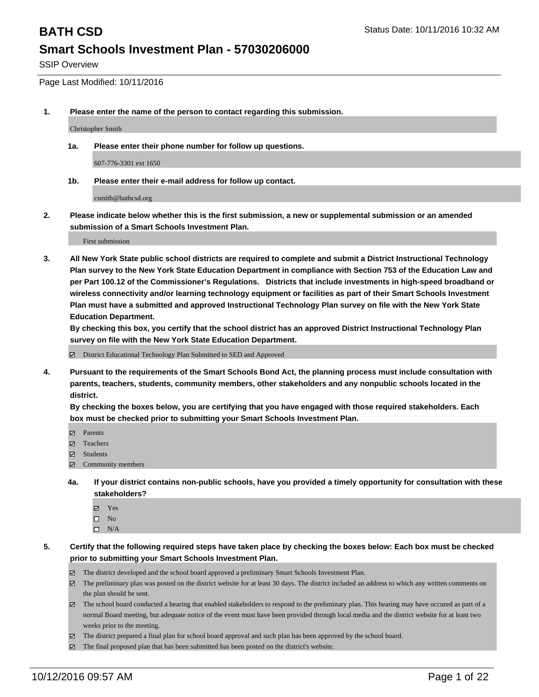SSIP Overview

Page Last Modified: 10/11/2016

**1. Please enter the name of the person to contact regarding this submission.**

Christopher Smith

**1a. Please enter their phone number for follow up questions.**

607-776-3301 ext 1650

**1b. Please enter their e-mail address for follow up contact.**

csmith@bathcsd.org

**2. Please indicate below whether this is the first submission, a new or supplemental submission or an amended submission of a Smart Schools Investment Plan.**

First submission

**3. All New York State public school districts are required to complete and submit a District Instructional Technology Plan survey to the New York State Education Department in compliance with Section 753 of the Education Law and per Part 100.12 of the Commissioner's Regulations. Districts that include investments in high-speed broadband or wireless connectivity and/or learning technology equipment or facilities as part of their Smart Schools Investment Plan must have a submitted and approved Instructional Technology Plan survey on file with the New York State Education Department.** 

**By checking this box, you certify that the school district has an approved District Instructional Technology Plan survey on file with the New York State Education Department.**

District Educational Technology Plan Submitted to SED and Approved

**4. Pursuant to the requirements of the Smart Schools Bond Act, the planning process must include consultation with parents, teachers, students, community members, other stakeholders and any nonpublic schools located in the district.** 

**By checking the boxes below, you are certifying that you have engaged with those required stakeholders. Each box must be checked prior to submitting your Smart Schools Investment Plan.**

- Parents
- Teachers
- $\boxtimes$  Students
- Community members
- **4a. If your district contains non-public schools, have you provided a timely opportunity for consultation with these stakeholders?**
	- Yes  $\square$  No
	- $\square$  N/A
- **5. Certify that the following required steps have taken place by checking the boxes below: Each box must be checked prior to submitting your Smart Schools Investment Plan.**
	- The district developed and the school board approved a preliminary Smart Schools Investment Plan.
	- The preliminary plan was posted on the district website for at least 30 days. The district included an address to which any written comments on the plan should be sent.
	- The school board conducted a hearing that enabled stakeholders to respond to the preliminary plan. This hearing may have occured as part of a normal Board meeting, but adequate notice of the event must have been provided through local media and the district website for at least two weeks prior to the meeting.
	- The district prepared a final plan for school board approval and such plan has been approved by the school board.
	- $\boxtimes$  The final proposed plan that has been submitted has been posted on the district's website.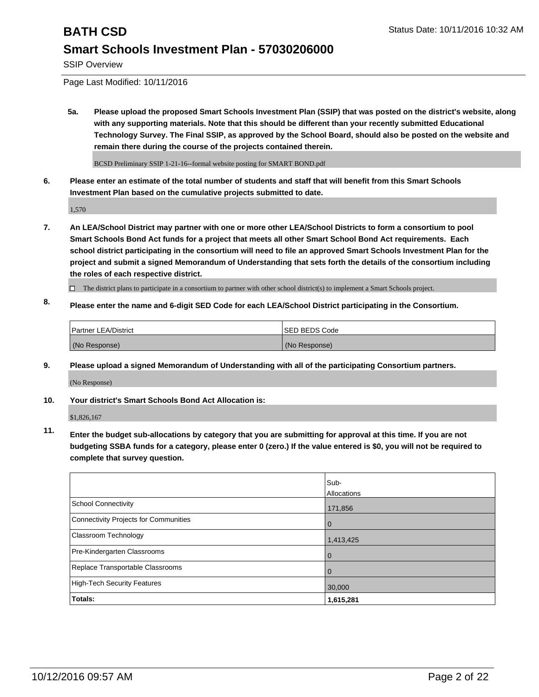SSIP Overview

Page Last Modified: 10/11/2016

**5a. Please upload the proposed Smart Schools Investment Plan (SSIP) that was posted on the district's website, along with any supporting materials. Note that this should be different than your recently submitted Educational Technology Survey. The Final SSIP, as approved by the School Board, should also be posted on the website and remain there during the course of the projects contained therein.**

BCSD Preliminary SSIP 1-21-16--formal website posting for SMART BOND.pdf

**6. Please enter an estimate of the total number of students and staff that will benefit from this Smart Schools Investment Plan based on the cumulative projects submitted to date.**

1,570

- **7. An LEA/School District may partner with one or more other LEA/School Districts to form a consortium to pool Smart Schools Bond Act funds for a project that meets all other Smart School Bond Act requirements. Each school district participating in the consortium will need to file an approved Smart Schools Investment Plan for the project and submit a signed Memorandum of Understanding that sets forth the details of the consortium including the roles of each respective district.**
	- $\Box$  The district plans to participate in a consortium to partner with other school district(s) to implement a Smart Schools project.
- **8. Please enter the name and 6-digit SED Code for each LEA/School District participating in the Consortium.**

| <b>Partner LEA/District</b> | <b>ISED BEDS Code</b> |
|-----------------------------|-----------------------|
| (No Response)               | (No Response)         |

**9. Please upload a signed Memorandum of Understanding with all of the participating Consortium partners.**

(No Response)

### **10. Your district's Smart Schools Bond Act Allocation is:**

\$1,826,167

**11. Enter the budget sub-allocations by category that you are submitting for approval at this time. If you are not budgeting SSBA funds for a category, please enter 0 (zero.) If the value entered is \$0, you will not be required to complete that survey question.**

|                                       | Sub-<br>Allocations |
|---------------------------------------|---------------------|
| School Connectivity                   | 171,856             |
| Connectivity Projects for Communities | $\Omega$            |
| <b>Classroom Technology</b>           | 1,413,425           |
| Pre-Kindergarten Classrooms           | $\Omega$            |
| Replace Transportable Classrooms      | O                   |
| High-Tech Security Features           | 30,000              |
| Totals:                               | 1,615,281           |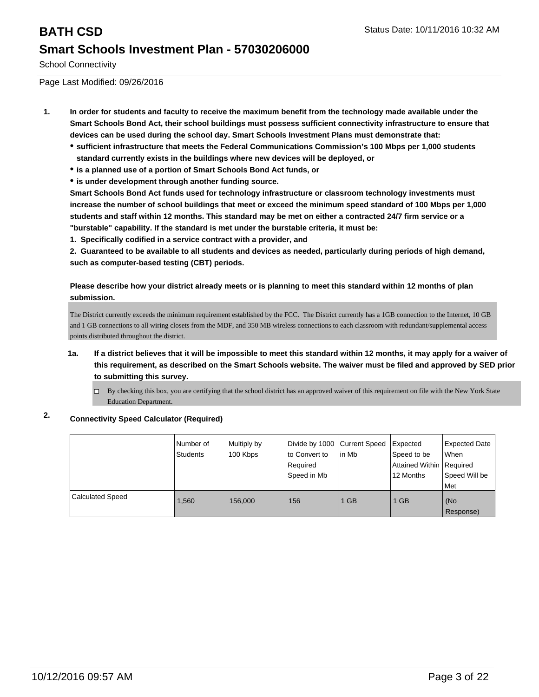School Connectivity

Page Last Modified: 09/26/2016

- **1. In order for students and faculty to receive the maximum benefit from the technology made available under the Smart Schools Bond Act, their school buildings must possess sufficient connectivity infrastructure to ensure that devices can be used during the school day. Smart Schools Investment Plans must demonstrate that:**
	- **sufficient infrastructure that meets the Federal Communications Commission's 100 Mbps per 1,000 students standard currently exists in the buildings where new devices will be deployed, or**
	- **is a planned use of a portion of Smart Schools Bond Act funds, or**
	- **is under development through another funding source.**

**Smart Schools Bond Act funds used for technology infrastructure or classroom technology investments must increase the number of school buildings that meet or exceed the minimum speed standard of 100 Mbps per 1,000 students and staff within 12 months. This standard may be met on either a contracted 24/7 firm service or a "burstable" capability. If the standard is met under the burstable criteria, it must be:**

**1. Specifically codified in a service contract with a provider, and**

**2. Guaranteed to be available to all students and devices as needed, particularly during periods of high demand, such as computer-based testing (CBT) periods.**

**Please describe how your district already meets or is planning to meet this standard within 12 months of plan submission.**

The District currently exceeds the minimum requirement established by the FCC. The District currently has a 1GB connection to the Internet, 10 GB and 1 GB connections to all wiring closets from the MDF, and 350 MB wireless connections to each classroom with redundant/supplemental access points distributed throughout the district.

- **1a. If a district believes that it will be impossible to meet this standard within 12 months, it may apply for a waiver of this requirement, as described on the Smart Schools website. The waiver must be filed and approved by SED prior to submitting this survey.**
	- $\Box$  By checking this box, you are certifying that the school district has an approved waiver of this requirement on file with the New York State Education Department.

## **2. Connectivity Speed Calculator (Required)**

|                         | Number of<br>Students | Multiply by<br>100 Kbps | Divide by 1000 Current Speed<br>Ito Convert to<br>Required<br>Speed in Mb | lin Mb | Expected<br>Speed to be<br>Attained Within   Required<br>12 Months | <b>Expected Date</b><br><b>When</b><br>Speed Will be<br>l Met |
|-------------------------|-----------------------|-------------------------|---------------------------------------------------------------------------|--------|--------------------------------------------------------------------|---------------------------------------------------------------|
| <b>Calculated Speed</b> | 1.560                 | 156,000                 | 156                                                                       | 1 GB   | 1 GB                                                               | (No<br>Response)                                              |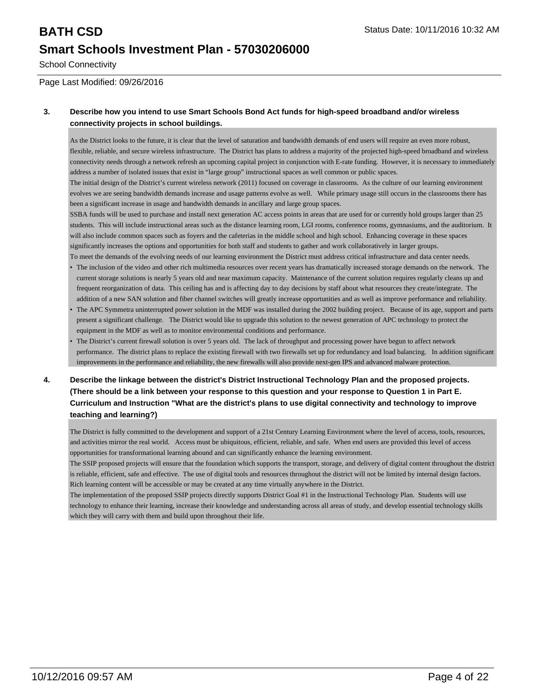School Connectivity

Page Last Modified: 09/26/2016

### **3. Describe how you intend to use Smart Schools Bond Act funds for high-speed broadband and/or wireless connectivity projects in school buildings.**

As the District looks to the future, it is clear that the level of saturation and bandwidth demands of end users will require an even more robust, flexible, reliable, and secure wireless infrastructure. The District has plans to address a majority of the projected high-speed broadband and wireless connectivity needs through a network refresh an upcoming capital project in conjunction with E-rate funding. However, it is necessary to immediately address a number of isolated issues that exist in "large group" instructional spaces as well common or public spaces.

The initial design of the District's current wireless network (2011) focused on coverage in classrooms. As the culture of our learning environment evolves we are seeing bandwidth demands increase and usage patterns evolve as well. While primary usage still occurs in the classrooms there has been a significant increase in usage and bandwidth demands in ancillary and large group spaces.

SSBA funds will be used to purchase and install next generation AC access points in areas that are used for or currently hold groups larger than 25 students. This will include instructional areas such as the distance learning room, LGI rooms, conference rooms, gymnasiums, and the auditorium. It will also include common spaces such as foyers and the cafeterias in the middle school and high school. Enhancing coverage in these spaces significantly increases the options and opportunities for both staff and students to gather and work collaboratively in larger groups.

- To meet the demands of the evolving needs of our learning environment the District must address critical infrastructure and data center needs. • The inclusion of the video and other rich multimedia resources over recent years has dramatically increased storage demands on the network. The current storage solutions is nearly 5 years old and near maximum capacity. Maintenance of the current solution requires regularly cleans up and frequent reorganization of data. This ceiling has and is affecting day to day decisions by staff about what resources they create/integrate. The addition of a new SAN solution and fiber channel switches will greatly increase opportunities and as well as improve performance and reliability.
- The APC Symmetra uninterrupted power solution in the MDF was installed during the 2002 building project. Because of its age, support and parts present a significant challenge. The District would like to upgrade this solution to the newest generation of APC technology to protect the equipment in the MDF as well as to monitor environmental conditions and performance.
- The District's current firewall solution is over 5 years old. The lack of throughput and processing power have begun to affect network performance. The district plans to replace the existing firewall with two firewalls set up for redundancy and load balancing. In addition significant improvements in the performance and reliability, the new firewalls will also provide next-gen IPS and advanced malware protection. •
- **4. Describe the linkage between the district's District Instructional Technology Plan and the proposed projects. (There should be a link between your response to this question and your response to Question 1 in Part E. Curriculum and Instruction "What are the district's plans to use digital connectivity and technology to improve teaching and learning?)**

The District is fully committed to the development and support of a 21st Century Learning Environment where the level of access, tools, resources, and activities mirror the real world. Access must be ubiquitous, efficient, reliable, and safe. When end users are provided this level of access opportunities for transformational learning abound and can significantly enhance the learning environment.

The SSIP proposed projects will ensure that the foundation which supports the transport, storage, and delivery of digital content throughout the district is reliable, efficient, safe and effective. The use of digital tools and resources throughout the district will not be limited by internal design factors. Rich learning content will be accessible or may be created at any time virtually anywhere in the District.

The implementation of the proposed SSIP projects directly supports District Goal #1 in the Instructional Technology Plan. Students will use technology to enhance their learning, increase their knowledge and understanding across all areas of study, and develop essential technology skills which they will carry with them and build upon throughout their life.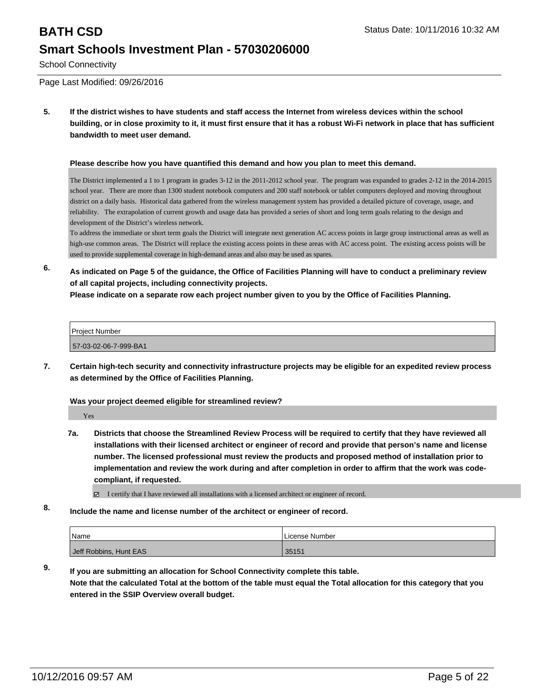School Connectivity

Page Last Modified: 09/26/2016

**5. If the district wishes to have students and staff access the Internet from wireless devices within the school building, or in close proximity to it, it must first ensure that it has a robust Wi-Fi network in place that has sufficient bandwidth to meet user demand.**

### **Please describe how you have quantified this demand and how you plan to meet this demand.**

The District implemented a 1 to 1 program in grades 3-12 in the 2011-2012 school year. The program was expanded to grades 2-12 in the 2014-2015 school year. There are more than 1300 student notebook computers and 200 staff notebook or tablet computers deployed and moving throughout district on a daily basis. Historical data gathered from the wireless management system has provided a detailed picture of coverage, usage, and reliability. The extrapolation of current growth and usage data has provided a series of short and long term goals relating to the design and development of the District's wireless network.

To address the immediate or short term goals the District will integrate next generation AC access points in large group instructional areas as well as high-use common areas. The District will replace the existing access points in these areas with AC access point. The existing access points will be used to provide supplemental coverage in high-demand areas and also may be used as spares.

**6. As indicated on Page 5 of the guidance, the Office of Facilities Planning will have to conduct a preliminary review of all capital projects, including connectivity projects.**

**Please indicate on a separate row each project number given to you by the Office of Facilities Planning.**

| <b>Project Number</b> |  |
|-----------------------|--|
| 57-03-02-06-7-999-BA1 |  |

**7. Certain high-tech security and connectivity infrastructure projects may be eligible for an expedited review process as determined by the Office of Facilities Planning.**

### **Was your project deemed eligible for streamlined review?**

Yes

**7a. Districts that choose the Streamlined Review Process will be required to certify that they have reviewed all installations with their licensed architect or engineer of record and provide that person's name and license number. The licensed professional must review the products and proposed method of installation prior to implementation and review the work during and after completion in order to affirm that the work was codecompliant, if requested.**

I certify that I have reviewed all installations with a licensed architect or engineer of record.

**8. Include the name and license number of the architect or engineer of record.**

| Name                   | License Number |
|------------------------|----------------|
| Jeff Robbins, Hunt EAS | 35151          |

**9. If you are submitting an allocation for School Connectivity complete this table. Note that the calculated Total at the bottom of the table must equal the Total allocation for this category that you entered in the SSIP Overview overall budget.**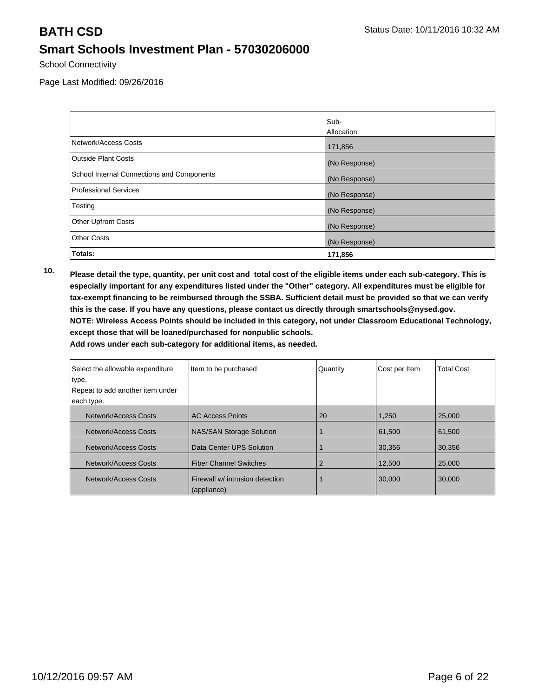School Connectivity

Page Last Modified: 09/26/2016

|                                            | Sub-              |
|--------------------------------------------|-------------------|
|                                            | <b>Allocation</b> |
| Network/Access Costs                       | 171,856           |
| Outside Plant Costs                        | (No Response)     |
| School Internal Connections and Components | (No Response)     |
| Professional Services                      | (No Response)     |
| Testing                                    | (No Response)     |
| <b>Other Upfront Costs</b>                 | (No Response)     |
| <b>Other Costs</b>                         | (No Response)     |
| Totals:                                    | 171,856           |

**10. Please detail the type, quantity, per unit cost and total cost of the eligible items under each sub-category. This is especially important for any expenditures listed under the "Other" category. All expenditures must be eligible for tax-exempt financing to be reimbursed through the SSBA. Sufficient detail must be provided so that we can verify this is the case. If you have any questions, please contact us directly through smartschools@nysed.gov. NOTE: Wireless Access Points should be included in this category, not under Classroom Educational Technology, except those that will be loaned/purchased for nonpublic schools.**

| Select the allowable expenditure | Item to be purchased                           | Quantity | Cost per Item | <b>Total Cost</b> |
|----------------------------------|------------------------------------------------|----------|---------------|-------------------|
| type.                            |                                                |          |               |                   |
| Repeat to add another item under |                                                |          |               |                   |
| each type.                       |                                                |          |               |                   |
| Network/Access Costs             | <b>AC Access Points</b>                        | 20       | 1,250         | 25,000            |
| Network/Access Costs             | <b>NAS/SAN Storage Solution</b>                |          | 61,500        | 61.500            |
| Network/Access Costs             | Data Center UPS Solution                       |          | 30,356        | 30,356            |
| Network/Access Costs             | <b>Fiber Channel Switches</b>                  | 2        | 12,500        | 25,000            |
| Network/Access Costs             | Firewall w/ intrusion detection<br>(appliance) |          | 30,000        | 30,000            |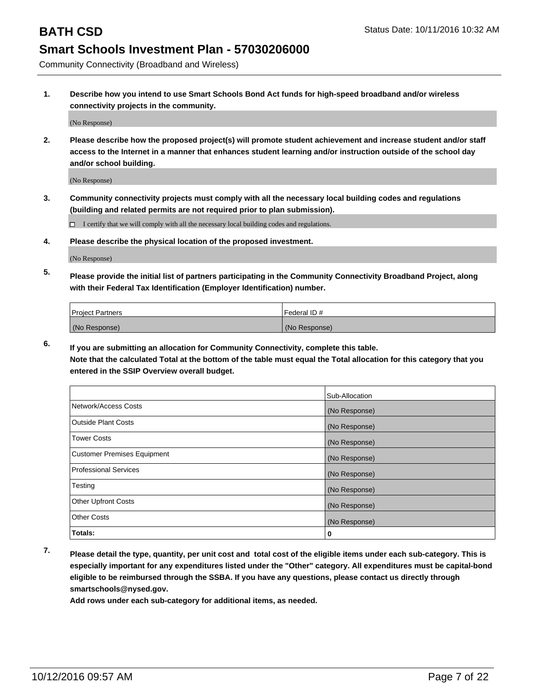Community Connectivity (Broadband and Wireless)

**1. Describe how you intend to use Smart Schools Bond Act funds for high-speed broadband and/or wireless connectivity projects in the community.**

(No Response)

**2. Please describe how the proposed project(s) will promote student achievement and increase student and/or staff access to the Internet in a manner that enhances student learning and/or instruction outside of the school day and/or school building.**

(No Response)

**3. Community connectivity projects must comply with all the necessary local building codes and regulations (building and related permits are not required prior to plan submission).**

 $\Box$  I certify that we will comply with all the necessary local building codes and regulations.

**4. Please describe the physical location of the proposed investment.**

(No Response)

**5. Please provide the initial list of partners participating in the Community Connectivity Broadband Project, along with their Federal Tax Identification (Employer Identification) number.**

| <b>Project Partners</b> | Federal ID#   |
|-------------------------|---------------|
| (No Response)           | (No Response) |

**6. If you are submitting an allocation for Community Connectivity, complete this table.**

**Note that the calculated Total at the bottom of the table must equal the Total allocation for this category that you entered in the SSIP Overview overall budget.**

|                                    | Sub-Allocation |
|------------------------------------|----------------|
| Network/Access Costs               | (No Response)  |
| Outside Plant Costs                | (No Response)  |
| Tower Costs                        | (No Response)  |
| <b>Customer Premises Equipment</b> | (No Response)  |
| Professional Services              | (No Response)  |
| Testing                            | (No Response)  |
| <b>Other Upfront Costs</b>         | (No Response)  |
| Other Costs                        | (No Response)  |
| Totals:                            | 0              |

**7. Please detail the type, quantity, per unit cost and total cost of the eligible items under each sub-category. This is especially important for any expenditures listed under the "Other" category. All expenditures must be capital-bond eligible to be reimbursed through the SSBA. If you have any questions, please contact us directly through smartschools@nysed.gov.**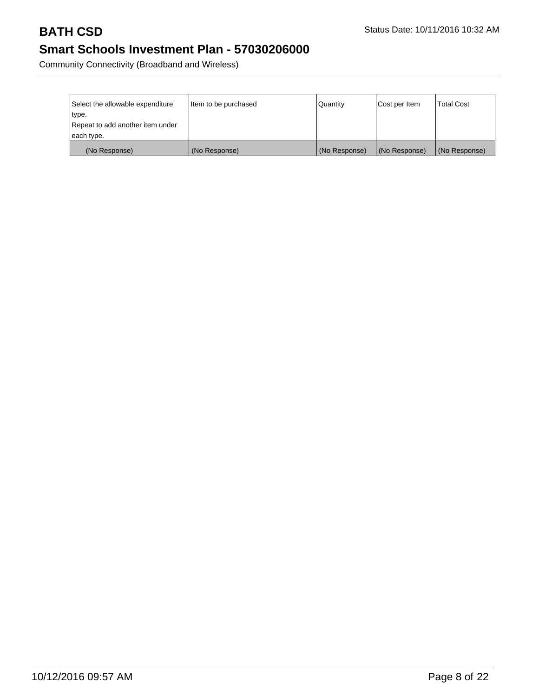Community Connectivity (Broadband and Wireless)

| Select the allowable expenditure | Item to be purchased | Quantity      | Cost per Item | <b>Total Cost</b> |
|----------------------------------|----------------------|---------------|---------------|-------------------|
| type.                            |                      |               |               |                   |
| Repeat to add another item under |                      |               |               |                   |
| each type.                       |                      |               |               |                   |
| (No Response)                    | (No Response)        | (No Response) | (No Response) | (No Response)     |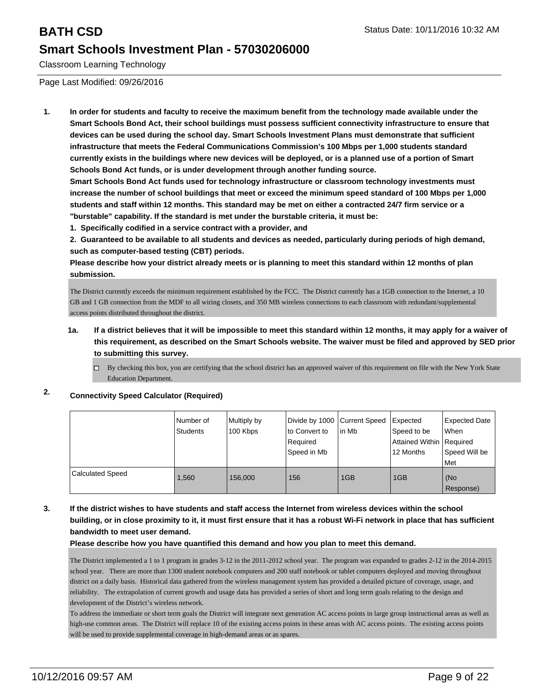Classroom Learning Technology

Page Last Modified: 09/26/2016

**1. In order for students and faculty to receive the maximum benefit from the technology made available under the Smart Schools Bond Act, their school buildings must possess sufficient connectivity infrastructure to ensure that devices can be used during the school day. Smart Schools Investment Plans must demonstrate that sufficient infrastructure that meets the Federal Communications Commission's 100 Mbps per 1,000 students standard currently exists in the buildings where new devices will be deployed, or is a planned use of a portion of Smart Schools Bond Act funds, or is under development through another funding source.**

**Smart Schools Bond Act funds used for technology infrastructure or classroom technology investments must increase the number of school buildings that meet or exceed the minimum speed standard of 100 Mbps per 1,000 students and staff within 12 months. This standard may be met on either a contracted 24/7 firm service or a "burstable" capability. If the standard is met under the burstable criteria, it must be:**

**1. Specifically codified in a service contract with a provider, and**

**2. Guaranteed to be available to all students and devices as needed, particularly during periods of high demand, such as computer-based testing (CBT) periods.**

**Please describe how your district already meets or is planning to meet this standard within 12 months of plan submission.**

The District currently exceeds the minimum requirement established by the FCC. The District currently has a 1GB connection to the Internet, a 10 GB and 1 GB connection from the MDF to all wiring closets, and 350 MB wireless connections to each classroom with redundant/supplemental access points distributed throughout the district.

**1a. If a district believes that it will be impossible to meet this standard within 12 months, it may apply for a waiver of this requirement, as described on the Smart Schools website. The waiver must be filed and approved by SED prior to submitting this survey.**

 $\Box$  By checking this box, you are certifying that the school district has an approved waiver of this requirement on file with the New York State Education Department.

## **2. Connectivity Speed Calculator (Required)**

|                  | Number of<br>Students | Multiply by<br>100 Kbps | Divide by 1000 Current Speed<br>lto Convert to<br>l Reauired<br>Speed in Mb | in Mb | Expected<br>Speed to be<br>Attained Within Required<br>12 Months | <b>Expected Date</b><br>l When<br>Speed Will be<br>Met |
|------------------|-----------------------|-------------------------|-----------------------------------------------------------------------------|-------|------------------------------------------------------------------|--------------------------------------------------------|
| Calculated Speed | .560                  | 156,000                 | 156                                                                         | 1GB   | 1GB                                                              | l (No<br>Response)                                     |

### **3. If the district wishes to have students and staff access the Internet from wireless devices within the school building, or in close proximity to it, it must first ensure that it has a robust Wi-Fi network in place that has sufficient bandwidth to meet user demand.**

**Please describe how you have quantified this demand and how you plan to meet this demand.**

The District implemented a 1 to 1 program in grades 3-12 in the 2011-2012 school year. The program was expanded to grades 2-12 in the 2014-2015 school year. There are more than 1300 student notebook computers and 200 staff notebook or tablet computers deployed and moving throughout district on a daily basis. Historical data gathered from the wireless management system has provided a detailed picture of coverage, usage, and reliability. The extrapolation of current growth and usage data has provided a series of short and long term goals relating to the design and development of the District's wireless network.

To address the immediate or short term goals the District will integrate next generation AC access points in large group instructional areas as well as high-use common areas. The District will replace 10 of the existing access points in these areas with AC access points. The existing access points will be used to provide supplemental coverage in high-demand areas or as spares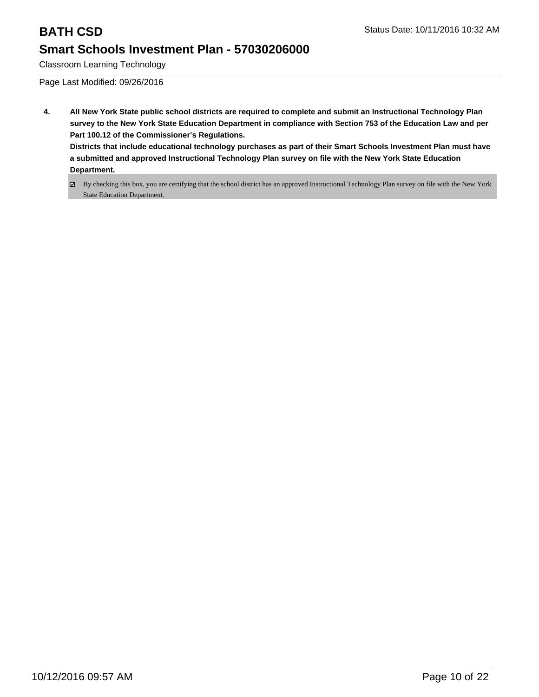Classroom Learning Technology

Page Last Modified: 09/26/2016

- **4. All New York State public school districts are required to complete and submit an Instructional Technology Plan survey to the New York State Education Department in compliance with Section 753 of the Education Law and per Part 100.12 of the Commissioner's Regulations. Districts that include educational technology purchases as part of their Smart Schools Investment Plan must have a submitted and approved Instructional Technology Plan survey on file with the New York State Education Department.**
	- By checking this box, you are certifying that the school district has an approved Instructional Technology Plan survey on file with the New York State Education Department.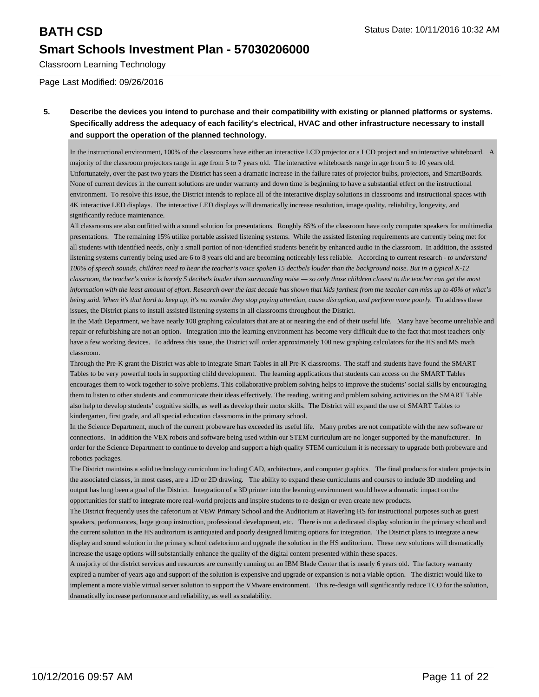Classroom Learning Technology

Page Last Modified: 09/26/2016

### **5. Describe the devices you intend to purchase and their compatibility with existing or planned platforms or systems. Specifically address the adequacy of each facility's electrical, HVAC and other infrastructure necessary to install and support the operation of the planned technology.**

In the instructional environment, 100% of the classrooms have either an interactive LCD projector or a LCD project and an interactive whiteboard. A majority of the classroom projectors range in age from 5 to 7 years old. The interactive whiteboards range in age from 5 to 10 years old. Unfortunately, over the past two years the District has seen a dramatic increase in the failure rates of projector bulbs, projectors, and SmartBoards. None of current devices in the current solutions are under warranty and down time is beginning to have a substantial effect on the instructional environment. To resolve this issue, the District intends to replace all of the interactive display solutions in classrooms and instructional spaces with 4K interactive LED displays. The interactive LED displays will dramatically increase resolution, image quality, reliability, longevity, and significantly reduce maintenance.

All classrooms are also outfitted with a sound solution for presentations. Roughly 85% of the classroom have only computer speakers for multimedia presentations. The remaining 15% utilize portable assisted listening systems. While the assisted listening requirements are currently being met for all students with identified needs, only a small portion of non-identified students benefit by enhanced audio in the classroom. In addition, the assisted listening systems currently being used are 6 to 8 years old and are becoming noticeably less reliable. According to current research - *to understand 100% of speech sounds, children need to hear the teacher's voice spoken 15 decibels louder than the background noise. But in a typical K-12 classroom, the teacher's voice is barely 5 decibels louder than surrounding noise — so only those children closest to the teacher can get the most information with the least amount of effort. Research over the last decade has shown that kids farthest from the teacher can miss up to 40% of what's being said. When it's that hard to keep up, it's no wonder they stop paying attention, cause disruption, and perform more poorly.* To address these issues, the District plans to install assisted listening systems in all classrooms throughout the District.

In the Math Department, we have nearly 100 graphing calculators that are at or nearing the end of their useful life. Many have become unreliable and repair or refurbishing are not an option. Integration into the learning environment has become very difficult due to the fact that most teachers only have a few working devices. To address this issue, the District will order approximately 100 new graphing calculators for the HS and MS math classroom.

Through the Pre-K grant the District was able to integrate Smart Tables in all Pre-K classrooms. The staff and students have found the SMART Tables to be very powerful tools in supporting child development. The learning applications that students can access on the SMART Tables encourages them to work together to solve problems. This collaborative problem solving helps to improve the students' social skills by encouraging them to listen to other students and communicate their ideas effectively. The reading, writing and problem solving activities on the SMART Table also help to develop students' cognitive skills, as well as develop their motor skills. The District will expand the use of SMART Tables to kindergarten, first grade, and all special education classrooms in the primary school.

In the Science Department, much of the current probeware has exceeded its useful life. Many probes are not compatible with the new software or connections. In addition the VEX robots and software being used within our STEM curriculum are no longer supported by the manufacturer. In order for the Science Department to continue to develop and support a high quality STEM curriculum it is necessary to upgrade both probeware and robotics packages.

The District maintains a solid technology curriculum including CAD, architecture, and computer graphics. The final products for student projects in the associated classes, in most cases, are a 1D or 2D drawing. The ability to expand these curriculums and courses to include 3D modeling and output has long been a goal of the District. Integration of a 3D printer into the learning environment would have a dramatic impact on the opportunities for staff to integrate more real-world projects and inspire students to re-design or even create new products.

The District frequently uses the cafetorium at VEW Primary School and the Auditorium at Haverling HS for instructional purposes such as guest speakers, performances, large group instruction, professional development, etc. There is not a dedicated display solution in the primary school and the current solution in the HS auditorium is antiquated and poorly designed limiting options for integration. The District plans to integrate a new display and sound solution in the primary school cafetorium and upgrade the solution in the HS auditorium. These new solutions will dramatically increase the usage options will substantially enhance the quality of the digital content presented within these spaces.

A majority of the district services and resources are currently running on an IBM Blade Center that is nearly 6 years old. The factory warranty expired a number of years ago and support of the solution is expensive and upgrade or expansion is not a viable option. The district would like to implement a more viable virtual server solution to support the VMware environment. This re-design will significantly reduce TCO for the solution, dramatically increase performance and reliability, as well as scalability.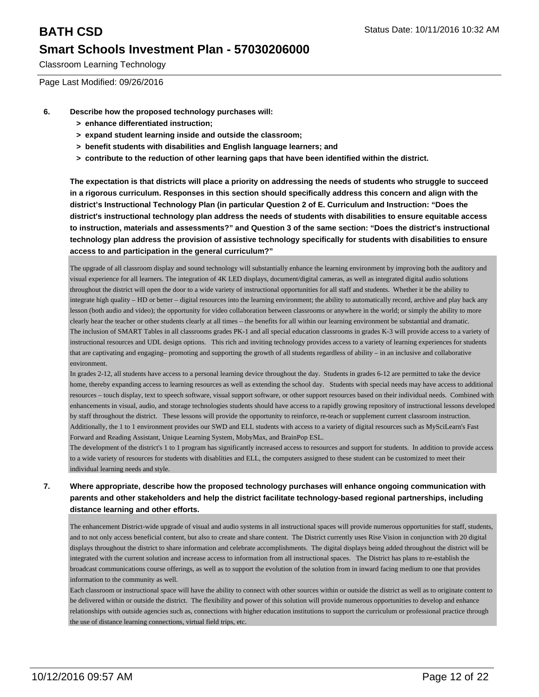Classroom Learning Technology

Page Last Modified: 09/26/2016

- **6. Describe how the proposed technology purchases will:**
	- **> enhance differentiated instruction;**
	- **> expand student learning inside and outside the classroom;**
	- **> benefit students with disabilities and English language learners; and**
	- **> contribute to the reduction of other learning gaps that have been identified within the district.**

**The expectation is that districts will place a priority on addressing the needs of students who struggle to succeed in a rigorous curriculum. Responses in this section should specifically address this concern and align with the district's Instructional Technology Plan (in particular Question 2 of E. Curriculum and Instruction: "Does the district's instructional technology plan address the needs of students with disabilities to ensure equitable access to instruction, materials and assessments?" and Question 3 of the same section: "Does the district's instructional technology plan address the provision of assistive technology specifically for students with disabilities to ensure access to and participation in the general curriculum?"**

The upgrade of all classroom display and sound technology will substantially enhance the learning environment by improving both the auditory and visual experience for all learners. The integration of 4K LED displays, document/digital cameras, as well as integrated digital audio solutions throughout the district will open the door to a wide variety of instructional opportunities for all staff and students. Whether it be the ability to integrate high quality – HD or better – digital resources into the learning environment; the ability to automatically record, archive and play back any lesson (both audio and video); the opportunity for video collaboration between classrooms or anywhere in the world; or simply the ability to more clearly hear the teacher or other students clearly at all times – the benefits for all within our learning environment be substantial and dramatic. The inclusion of SMART Tables in all classrooms grades PK-1 and all special education classrooms in grades K-3 will provide access to a variety of instructional resources and UDL design options. This rich and inviting technology provides access to a variety of learning experiences for students that are captivating and engaging– promoting and supporting the growth of all students regardless of ability – in an inclusive and collaborative environment.

In grades 2-12, all students have access to a personal learning device throughout the day. Students in grades 6-12 are permitted to take the device home, thereby expanding access to learning resources as well as extending the school day. Students with special needs may have access to additional resources – touch display, text to speech software, visual support software, or other support resources based on their individual needs. Combined with enhancements in visual, audio, and storage technologies students should have access to a rapidly growing repository of instructional lessons developed by staff throughout the district. These lessons will provide the opportunity to reinforce, re-teach or supplement current classroom instruction. Additionally, the 1 to 1 environment provides our SWD and ELL students with access to a variety of digital resources such as MySciLearn's Fast Forward and Reading Assistant, Unique Learning System, MobyMax, and BrainPop ESL.

The development of the district's 1 to 1 program has significantly increased access to resources and support for students. In addition to provide access to a wide variety of resources for students with disablities and ELL, the computers assigned to these student can be customized to meet their individual learning needs and style.

### **7. Where appropriate, describe how the proposed technology purchases will enhance ongoing communication with parents and other stakeholders and help the district facilitate technology-based regional partnerships, including distance learning and other efforts.**

The enhancement District-wide upgrade of visual and audio systems in all instructional spaces will provide numerous opportunities for staff, students, and to not only access beneficial content, but also to create and share content. The District currently uses Rise Vision in conjunction with 20 digital displays throughout the district to share information and celebrate accomplishments. The digital displays being added throughout the district will be integrated with the current solution and increase access to information from all instructional spaces. The District has plans to re-establish the broadcast communications course offerings, as well as to support the evolution of the solution from in inward facing medium to one that provides information to the community as well.

Each classroom or instructional space will have the ability to connect with other sources within or outside the district as well as to originate content to be delivered within or outside the district. The flexibility and power of this solution will provide numerous opportunities to develop and enhance relationships with outside agencies such as, connections with higher education institutions to support the curriculum or professional practice through the use of distance learning connections, virtual field trips, etc.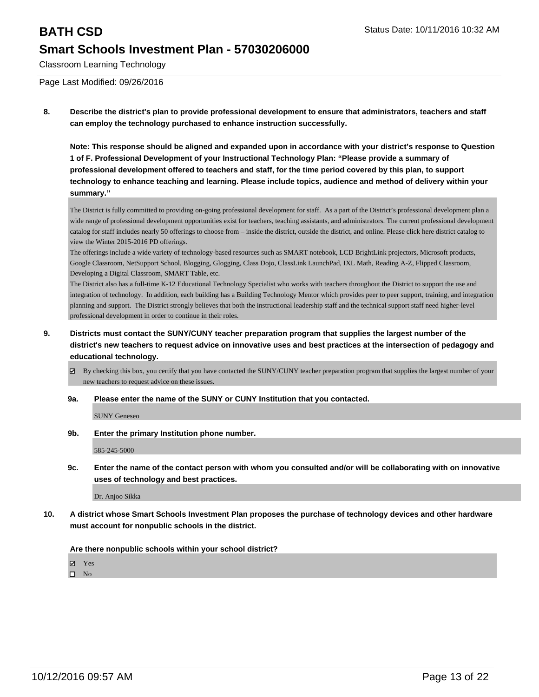Classroom Learning Technology

Page Last Modified: 09/26/2016

**8. Describe the district's plan to provide professional development to ensure that administrators, teachers and staff can employ the technology purchased to enhance instruction successfully.**

**Note: This response should be aligned and expanded upon in accordance with your district's response to Question 1 of F. Professional Development of your Instructional Technology Plan: "Please provide a summary of professional development offered to teachers and staff, for the time period covered by this plan, to support technology to enhance teaching and learning. Please include topics, audience and method of delivery within your summary."**

The District is fully committed to providing on-going professional development for staff. As a part of the District's professional development plan a wide range of professional development opportunities exist for teachers, teaching assistants, and administrators. The current professional development catalog for staff includes nearly 50 offerings to choose from – inside the district, outside the district, and online. Please click here district catalog to view the Winter 2015-2016 PD offerings.

The offerings include a wide variety of technology-based resources such as SMART notebook, LCD BrightLink projectors, Microsoft products, Google Classroom, NetSupport School, Blogging, Glogging, Class Dojo, ClassLink LaunchPad, IXL Math, Reading A-Z, Flipped Classroom, Developing a Digital Classroom, SMART Table, etc.

The District also has a full-time K-12 Educational Technology Specialist who works with teachers throughout the District to support the use and integration of technology. In addition, each building has a Building Technology Mentor which provides peer to peer support, training, and integration planning and support. The District strongly believes that both the instructional leadership staff and the technical support staff need higher-level professional development in order to continue in their roles.

- **9. Districts must contact the SUNY/CUNY teacher preparation program that supplies the largest number of the district's new teachers to request advice on innovative uses and best practices at the intersection of pedagogy and educational technology.**
	- By checking this box, you certify that you have contacted the SUNY/CUNY teacher preparation program that supplies the largest number of your new teachers to request advice on these issues.
	- **9a. Please enter the name of the SUNY or CUNY Institution that you contacted.**

SUNY Geneseo

**9b. Enter the primary Institution phone number.**

585-245-5000

**9c. Enter the name of the contact person with whom you consulted and/or will be collaborating with on innovative uses of technology and best practices.**

Dr. Anjoo Sikka

**10. A district whose Smart Schools Investment Plan proposes the purchase of technology devices and other hardware must account for nonpublic schools in the district.**

**Are there nonpublic schools within your school district?**

Yes

 $\square$  No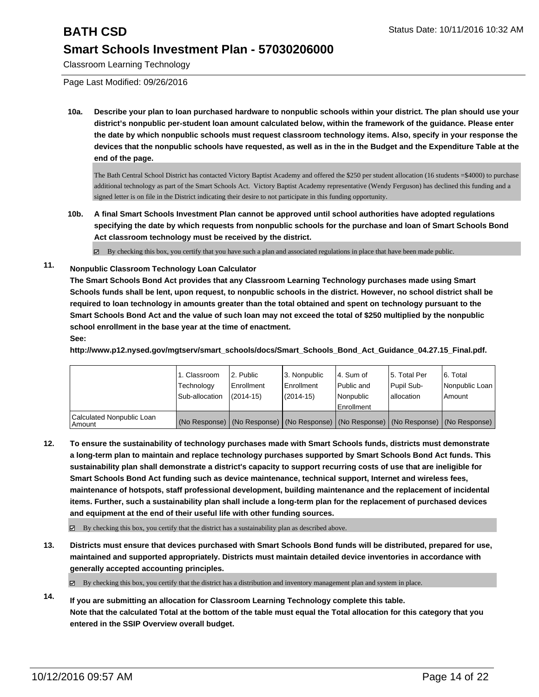Classroom Learning Technology

Page Last Modified: 09/26/2016

**10a. Describe your plan to loan purchased hardware to nonpublic schools within your district. The plan should use your district's nonpublic per-student loan amount calculated below, within the framework of the guidance. Please enter the date by which nonpublic schools must request classroom technology items. Also, specify in your response the devices that the nonpublic schools have requested, as well as in the in the Budget and the Expenditure Table at the end of the page.**

The Bath Central School District has contacted Victory Baptist Academy and offered the \$250 per student allocation (16 students =\$4000) to purchase additional technology as part of the Smart Schools Act. Victory Baptist Academy representative (Wendy Ferguson) has declined this funding and a signed letter is on file in the District indicating their desire to not participate in this funding opportunity.

**10b. A final Smart Schools Investment Plan cannot be approved until school authorities have adopted regulations specifying the date by which requests from nonpublic schools for the purchase and loan of Smart Schools Bond Act classroom technology must be received by the district.**

 $\boxtimes$  By checking this box, you certify that you have such a plan and associated regulations in place that have been made public.

**11. Nonpublic Classroom Technology Loan Calculator**

**The Smart Schools Bond Act provides that any Classroom Learning Technology purchases made using Smart Schools funds shall be lent, upon request, to nonpublic schools in the district. However, no school district shall be required to loan technology in amounts greater than the total obtained and spent on technology pursuant to the Smart Schools Bond Act and the value of such loan may not exceed the total of \$250 multiplied by the nonpublic school enrollment in the base year at the time of enactment. See:**

**http://www.p12.nysed.gov/mgtserv/smart\_schools/docs/Smart\_Schools\_Bond\_Act\_Guidance\_04.27.15\_Final.pdf.**

|                                         | 1. Classroom<br>Technology<br>Sub-allocation | 2. Public<br>Enrollment<br>$(2014 - 15)$ | 3. Nonpublic<br>Enrollment<br>(2014-15) | l 4. Sum of<br>Public and<br>Nonpublic<br>Enrollment | l 5. Total Per<br>Pupil Sub-<br>lallocation | 6. Total<br>Nonpublic Loan<br>Amount                                                          |
|-----------------------------------------|----------------------------------------------|------------------------------------------|-----------------------------------------|------------------------------------------------------|---------------------------------------------|-----------------------------------------------------------------------------------------------|
| Calculated Nonpublic Loan<br>l Amount I |                                              |                                          |                                         |                                                      |                                             | (No Response)   (No Response)   (No Response)   (No Response)   (No Response)   (No Response) |

**12. To ensure the sustainability of technology purchases made with Smart Schools funds, districts must demonstrate a long-term plan to maintain and replace technology purchases supported by Smart Schools Bond Act funds. This sustainability plan shall demonstrate a district's capacity to support recurring costs of use that are ineligible for Smart Schools Bond Act funding such as device maintenance, technical support, Internet and wireless fees, maintenance of hotspots, staff professional development, building maintenance and the replacement of incidental items. Further, such a sustainability plan shall include a long-term plan for the replacement of purchased devices and equipment at the end of their useful life with other funding sources.**

 $\boxtimes$  By checking this box, you certify that the district has a sustainability plan as described above.

**13. Districts must ensure that devices purchased with Smart Schools Bond funds will be distributed, prepared for use, maintained and supported appropriately. Districts must maintain detailed device inventories in accordance with generally accepted accounting principles.**

 $\boxtimes$  By checking this box, you certify that the district has a distribution and inventory management plan and system in place.

**14. If you are submitting an allocation for Classroom Learning Technology complete this table. Note that the calculated Total at the bottom of the table must equal the Total allocation for this category that you entered in the SSIP Overview overall budget.**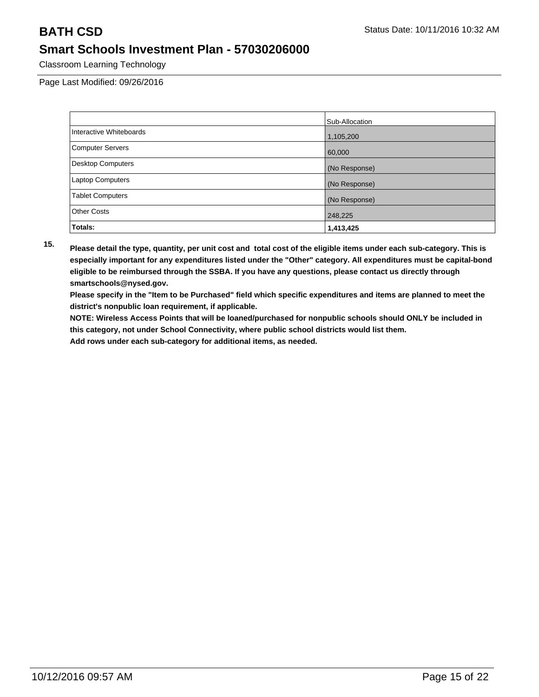Classroom Learning Technology

Page Last Modified: 09/26/2016

|                          | Sub-Allocation |
|--------------------------|----------------|
| Interactive Whiteboards  | 1,105,200      |
| <b>Computer Servers</b>  | 60,000         |
| <b>Desktop Computers</b> | (No Response)  |
| Laptop Computers         | (No Response)  |
| <b>Tablet Computers</b>  | (No Response)  |
| <b>Other Costs</b>       | 248,225        |
| Totals:                  | 1,413,425      |

**15. Please detail the type, quantity, per unit cost and total cost of the eligible items under each sub-category. This is especially important for any expenditures listed under the "Other" category. All expenditures must be capital-bond eligible to be reimbursed through the SSBA. If you have any questions, please contact us directly through smartschools@nysed.gov.**

**Please specify in the "Item to be Purchased" field which specific expenditures and items are planned to meet the district's nonpublic loan requirement, if applicable.**

**NOTE: Wireless Access Points that will be loaned/purchased for nonpublic schools should ONLY be included in this category, not under School Connectivity, where public school districts would list them.**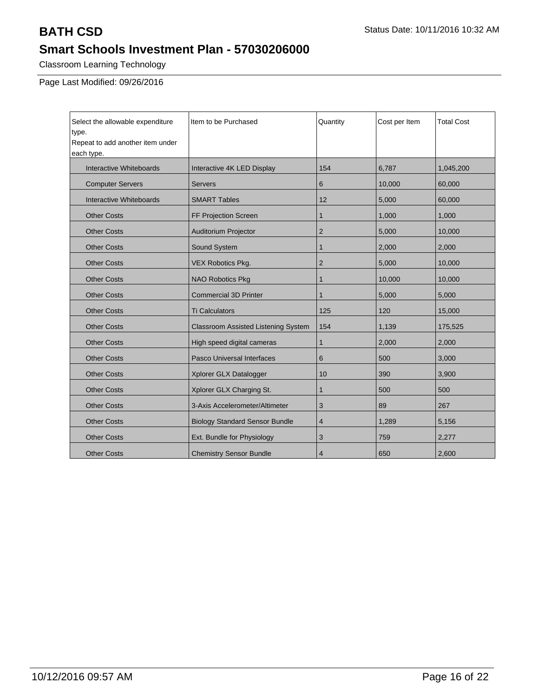Classroom Learning Technology

Page Last Modified: 09/26/2016

| Select the allowable expenditure<br>type.<br>Repeat to add another item under<br>each type. | Item to be Purchased                  | Quantity       | Cost per Item | <b>Total Cost</b> |
|---------------------------------------------------------------------------------------------|---------------------------------------|----------------|---------------|-------------------|
| Interactive Whiteboards                                                                     | Interactive 4K LED Display            | 154            | 6,787         | 1,045,200         |
| <b>Computer Servers</b>                                                                     | <b>Servers</b>                        | 6              | 10,000        | 60,000            |
| Interactive Whiteboards                                                                     | <b>SMART Tables</b>                   | 12             | 5,000         | 60,000            |
| <b>Other Costs</b>                                                                          | FF Projection Screen                  | $\mathbf{1}$   | 1,000         | 1,000             |
| <b>Other Costs</b>                                                                          | <b>Auditorium Projector</b>           | $\overline{2}$ | 5,000         | 10,000            |
| <b>Other Costs</b>                                                                          | Sound System                          | $\mathbf 1$    | 2,000         | 2,000             |
| <b>Other Costs</b>                                                                          | <b>VEX Robotics Pkg.</b>              | $\overline{2}$ | 5,000         | 10,000            |
| <b>Other Costs</b>                                                                          | <b>NAO Robotics Pkg</b>               | $\mathbf 1$    | 10,000        | 10,000            |
| <b>Other Costs</b>                                                                          | <b>Commercial 3D Printer</b>          | $\mathbf{1}$   | 5,000         | 5,000             |
| <b>Other Costs</b>                                                                          | <b>Ti Calculators</b>                 | 125            | 120           | 15,000            |
| <b>Other Costs</b>                                                                          | Classroom Assisted Listening System   | 154            | 1,139         | 175,525           |
| <b>Other Costs</b>                                                                          | High speed digital cameras            | 1              | 2,000         | 2,000             |
| <b>Other Costs</b>                                                                          | <b>Pasco Universal Interfaces</b>     | 6              | 500           | 3,000             |
| <b>Other Costs</b>                                                                          | Xplorer GLX Datalogger                | 10             | 390           | 3,900             |
| <b>Other Costs</b>                                                                          | Xplorer GLX Charging St.              | $\mathbf{1}$   | 500           | 500               |
| <b>Other Costs</b>                                                                          | 3-Axis Accelerometer/Altimeter        | 3              | 89            | 267               |
| <b>Other Costs</b>                                                                          | <b>Biology Standard Sensor Bundle</b> | $\overline{4}$ | 1,289         | 5,156             |
| <b>Other Costs</b>                                                                          | Ext. Bundle for Physiology            | 3              | 759           | 2,277             |
| <b>Other Costs</b>                                                                          | <b>Chemistry Sensor Bundle</b>        | 4              | 650           | 2,600             |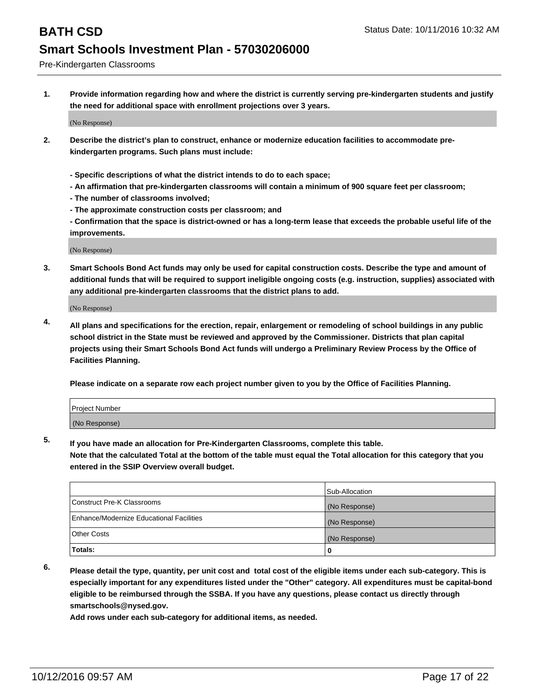Pre-Kindergarten Classrooms

**1. Provide information regarding how and where the district is currently serving pre-kindergarten students and justify the need for additional space with enrollment projections over 3 years.**

(No Response)

- **2. Describe the district's plan to construct, enhance or modernize education facilities to accommodate prekindergarten programs. Such plans must include:**
	- **Specific descriptions of what the district intends to do to each space;**
	- **An affirmation that pre-kindergarten classrooms will contain a minimum of 900 square feet per classroom;**
	- **The number of classrooms involved;**
	- **The approximate construction costs per classroom; and**
	- **Confirmation that the space is district-owned or has a long-term lease that exceeds the probable useful life of the improvements.**

(No Response)

**3. Smart Schools Bond Act funds may only be used for capital construction costs. Describe the type and amount of additional funds that will be required to support ineligible ongoing costs (e.g. instruction, supplies) associated with any additional pre-kindergarten classrooms that the district plans to add.**

(No Response)

**4. All plans and specifications for the erection, repair, enlargement or remodeling of school buildings in any public school district in the State must be reviewed and approved by the Commissioner. Districts that plan capital projects using their Smart Schools Bond Act funds will undergo a Preliminary Review Process by the Office of Facilities Planning.**

**Please indicate on a separate row each project number given to you by the Office of Facilities Planning.**

| <b>Project Number</b> |  |
|-----------------------|--|
| (No Response)         |  |

**5. If you have made an allocation for Pre-Kindergarten Classrooms, complete this table.**

**Note that the calculated Total at the bottom of the table must equal the Total allocation for this category that you entered in the SSIP Overview overall budget.**

|                                          | Sub-Allocation |
|------------------------------------------|----------------|
| Construct Pre-K Classrooms               | (No Response)  |
| Enhance/Modernize Educational Facilities | (No Response)  |
| Other Costs                              | (No Response)  |
| Totals:                                  | 0              |

**6. Please detail the type, quantity, per unit cost and total cost of the eligible items under each sub-category. This is especially important for any expenditures listed under the "Other" category. All expenditures must be capital-bond eligible to be reimbursed through the SSBA. If you have any questions, please contact us directly through smartschools@nysed.gov.**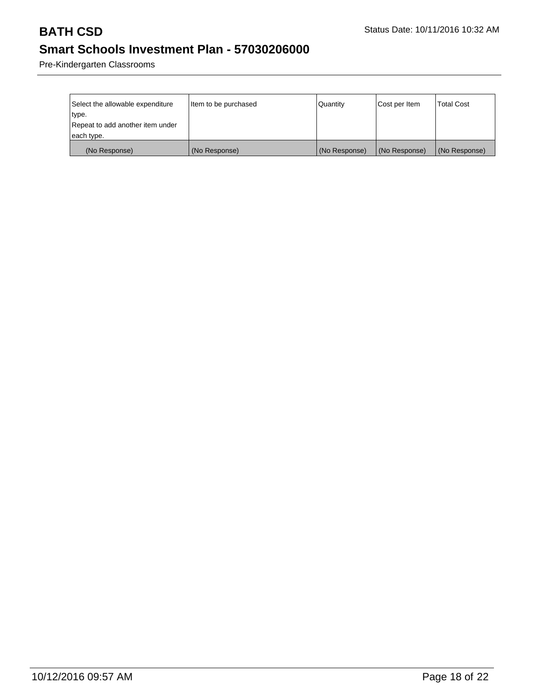Pre-Kindergarten Classrooms

| Select the allowable expenditure<br> type.     | Item to be purchased | Quantity      | Cost per Item | Total Cost    |
|------------------------------------------------|----------------------|---------------|---------------|---------------|
| Repeat to add another item under<br>each type. |                      |               |               |               |
| (No Response)                                  | (No Response)        | (No Response) | (No Response) | (No Response) |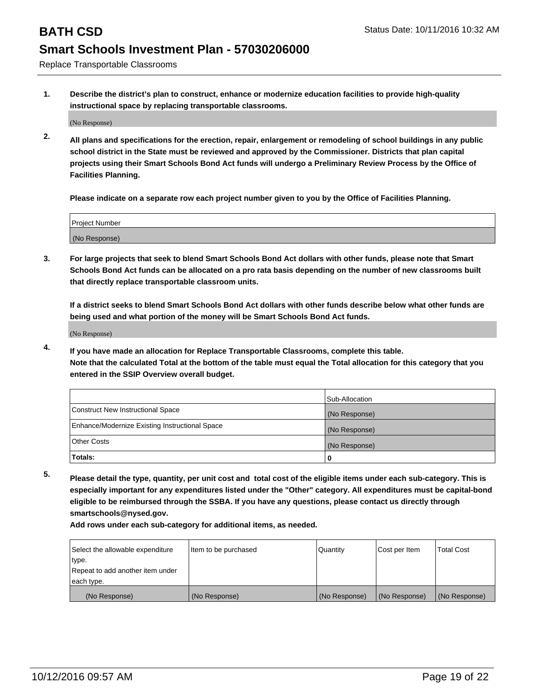Replace Transportable Classrooms

**1. Describe the district's plan to construct, enhance or modernize education facilities to provide high-quality instructional space by replacing transportable classrooms.**

(No Response)

**2. All plans and specifications for the erection, repair, enlargement or remodeling of school buildings in any public school district in the State must be reviewed and approved by the Commissioner. Districts that plan capital projects using their Smart Schools Bond Act funds will undergo a Preliminary Review Process by the Office of Facilities Planning.**

**Please indicate on a separate row each project number given to you by the Office of Facilities Planning.**

| Project Number |  |
|----------------|--|
|                |  |
| (No Response)  |  |

**3. For large projects that seek to blend Smart Schools Bond Act dollars with other funds, please note that Smart Schools Bond Act funds can be allocated on a pro rata basis depending on the number of new classrooms built that directly replace transportable classroom units.**

**If a district seeks to blend Smart Schools Bond Act dollars with other funds describe below what other funds are being used and what portion of the money will be Smart Schools Bond Act funds.**

(No Response)

**4. If you have made an allocation for Replace Transportable Classrooms, complete this table. Note that the calculated Total at the bottom of the table must equal the Total allocation for this category that you entered in the SSIP Overview overall budget.**

|                                                | Sub-Allocation |
|------------------------------------------------|----------------|
| Construct New Instructional Space              | (No Response)  |
| Enhance/Modernize Existing Instructional Space | (No Response)  |
| Other Costs                                    | (No Response)  |
| Totals:                                        | 0              |

**5. Please detail the type, quantity, per unit cost and total cost of the eligible items under each sub-category. This is especially important for any expenditures listed under the "Other" category. All expenditures must be capital-bond eligible to be reimbursed through the SSBA. If you have any questions, please contact us directly through smartschools@nysed.gov.**

| Select the allowable expenditure | Item to be purchased | Quantity      | Cost per Item | <b>Total Cost</b> |
|----------------------------------|----------------------|---------------|---------------|-------------------|
| type.                            |                      |               |               |                   |
| Repeat to add another item under |                      |               |               |                   |
| each type.                       |                      |               |               |                   |
| (No Response)                    | (No Response)        | (No Response) | (No Response) | (No Response)     |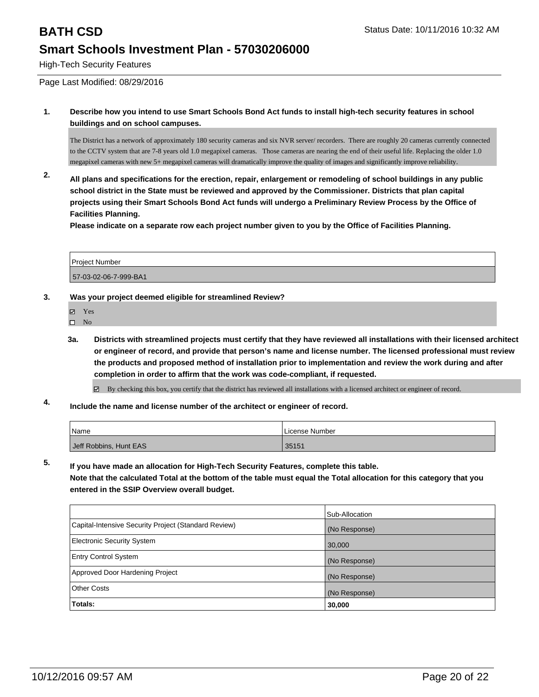High-Tech Security Features

Page Last Modified: 08/29/2016

**1. Describe how you intend to use Smart Schools Bond Act funds to install high-tech security features in school buildings and on school campuses.**

The District has a network of approximately 180 security cameras and six NVR server/ recorders. There are roughly 20 cameras currently connected to the CCTV system that are 7-8 years old 1.0 megapixel cameras. Those cameras are nearing the end of their useful life. Replacing the older 1.0 megapixel cameras with new 5+ megapixel cameras will dramatically improve the quality of images and significantly improve reliability.

**2. All plans and specifications for the erection, repair, enlargement or remodeling of school buildings in any public school district in the State must be reviewed and approved by the Commissioner. Districts that plan capital projects using their Smart Schools Bond Act funds will undergo a Preliminary Review Process by the Office of Facilities Planning.** 

**Please indicate on a separate row each project number given to you by the Office of Facilities Planning.**

| <b>Project Number</b> |  |
|-----------------------|--|
| 57-03-02-06-7-999-BA1 |  |

### **3. Was your project deemed eligible for streamlined Review?**

- M. Yes
- $\square$  No
- **3a. Districts with streamlined projects must certify that they have reviewed all installations with their licensed architect or engineer of record, and provide that person's name and license number. The licensed professional must review the products and proposed method of installation prior to implementation and review the work during and after completion in order to affirm that the work was code-compliant, if requested.**

By checking this box, you certify that the district has reviewed all installations with a licensed architect or engineer of record.

**4. Include the name and license number of the architect or engineer of record.**

| <sup>I</sup> Name      | License Number |
|------------------------|----------------|
| Jeff Robbins, Hunt EAS | 35151          |

**5. If you have made an allocation for High-Tech Security Features, complete this table. Note that the calculated Total at the bottom of the table must equal the Total allocation for this category that you entered in the SSIP Overview overall budget.**

|                                                      | Sub-Allocation |
|------------------------------------------------------|----------------|
| Capital-Intensive Security Project (Standard Review) | (No Response)  |
| <b>Electronic Security System</b>                    | 30,000         |
| <b>Entry Control System</b>                          | (No Response)  |
| Approved Door Hardening Project                      | (No Response)  |
| <b>Other Costs</b>                                   | (No Response)  |
| Totals:                                              | 30,000         |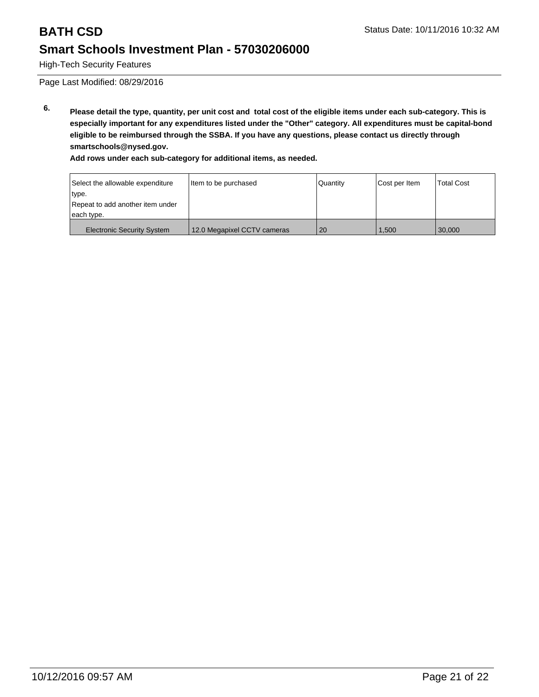High-Tech Security Features

Page Last Modified: 08/29/2016

**6. Please detail the type, quantity, per unit cost and total cost of the eligible items under each sub-category. This is especially important for any expenditures listed under the "Other" category. All expenditures must be capital-bond eligible to be reimbursed through the SSBA. If you have any questions, please contact us directly through smartschools@nysed.gov.**

| Select the allowable expenditure  | Item to be purchased        | Quantity | Cost per Item | <b>Total Cost</b> |
|-----------------------------------|-----------------------------|----------|---------------|-------------------|
| type.                             |                             |          |               |                   |
| Repeat to add another item under  |                             |          |               |                   |
| each type.                        |                             |          |               |                   |
| <b>Electronic Security System</b> | 12.0 Megapixel CCTV cameras | 20       | .500          | 30,000            |